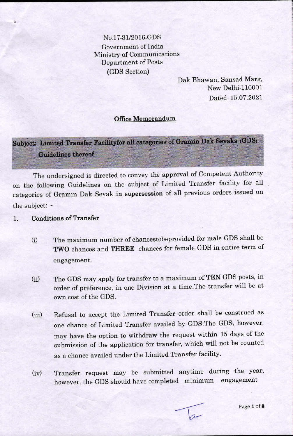No.17-31/2016-GDS Government of India Ministry of Communications **Department of Posts** (GDS Section)

> Dak Bhawan, Sansad Marg, New Delhi-110001 Dated-15.07.2021

## **Office Memorandum**

Subject: Limited Transfer Facilityfor all categories of Gramin Dak Sevaks (GDS) -**Guidelines thereof** 

The undersigned is directed to convey the approval of Competent Authority on the following Guidelines on the subject of Limited Transfer facility for all categories of Gramin Dak Sevak in supersession of all previous orders issued on the subject: -

## **Conditions of Transfer**  $1.$

- The maximum number of chancestobeprovided for male GDS shall be  $(i)$ TWO chances and THREE chances for female GDS in entire term of engagement.
- The GDS may apply for transfer to a maximum of TEN GDS posts, in  $(ii)$ order of preference, in one Division at a time. The transfer will be at own cost of the GDS.
- Refusal to accept the Limited Transfer order shall be construed as  $(iii)$ one chance of Limited Transfer availed by GDS. The GDS, however, may have the option to withdraw the request within 15 days of the submission of the application for transfer, which will not be counted as a chance availed under the Limited Transfer facility.
- Transfer request may be submitted anytime during the year,  $(iv)$ however, the GDS should have completed minimum engagement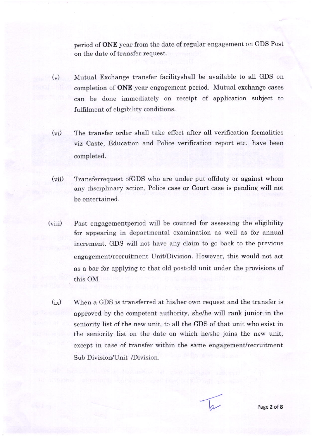period of **ONE** year from the date of regular engagement on GDS Post on the date of transfer request.

- $(v)$ Mutual Exchange transfer facilityshall be available to all GDS on completion of ONE year engagement period. Mutual exchange cases can be done immediately on receipt of application subject to fulfilment of eligibility conditions.
- (vi) The transfer order shall take effect after all verification formalities viz Caste, Education and Police verification report etc. have been completed.
- (vii) Transferrequest of GDS who are under put offduty or against whom any disciplinary action, Police case or Court case is pending will not be entertained.
- (viii) Past engagementperiod will be counted for assessing the eligibility for appearing in departmental examination as well as for annual increment. GDS will not have any claim to go back to the previous engagement/recruitment Unit/Division. However, this would not act as a bar for applying to that old post/old unit under the provisions of this OM.
- $(ix)$  When a GDS is transferred at his/her own request and the transfer is approved by the competent authority, she/he will rank junior in the seniority list of the new unit, to ali the GDS of that unit who exist in the seniority list on the date on which hershe joins the new unit, except in case of transfer within the same engagement/recruitment Sub Division/Unit /Division.